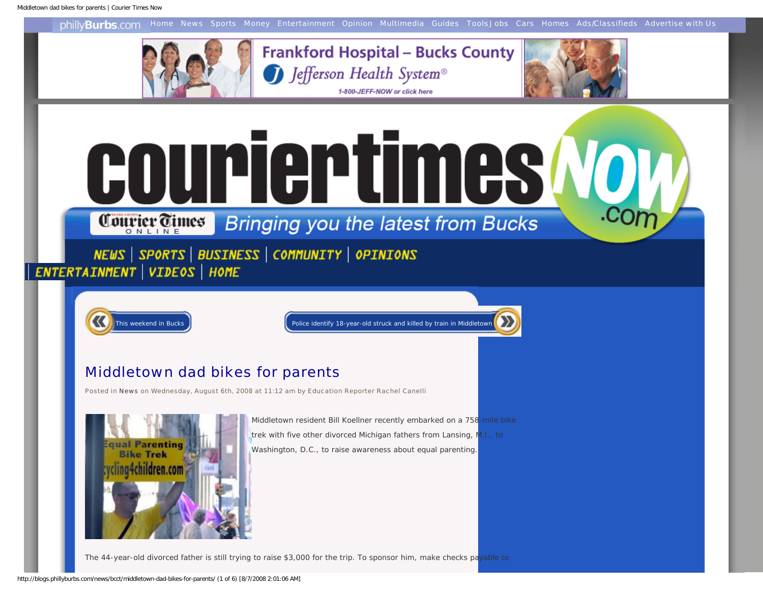<span id="page-0-0"></span>

The 44-year-old divorced father is still trying to raise \$3,000 for the trip. To sponsor him, make checks payable to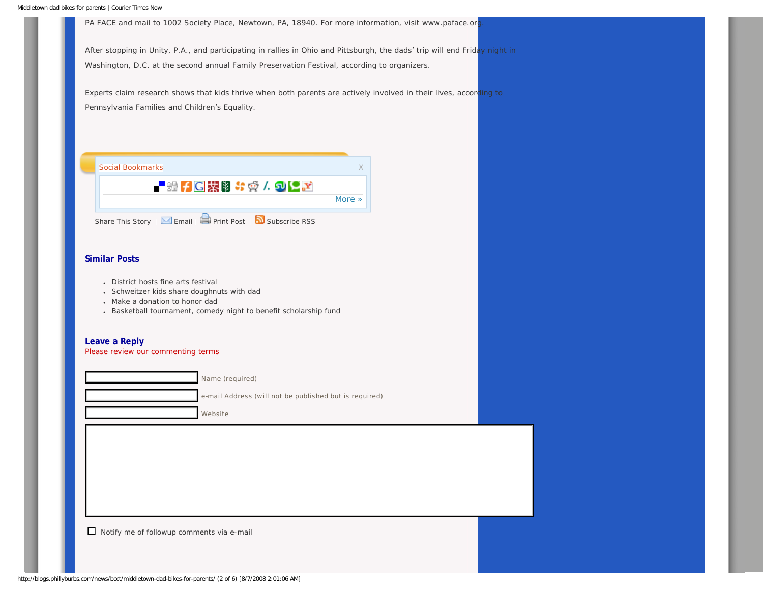PA FACE and mail to 1002 Society Place, Newtown, PA, 18940. For more information, visit www.paface.org

After stopping in Unity, P.A., and participating in rallies in Ohio and Pittsburgh, the dads' trip will end Friday night in Washington, D.C. at the second annual Family Preservation Festival, according to organizers.

Experts claim research shows that kids thrive when both parents are actively involved in their lives, according to Pennsylvania Families and Children's Equality.

| Social Bookmarks                                   |        |  |
|----------------------------------------------------|--------|--|
| - 端子に裝身お愛/句と区                                      | More » |  |
| Share This Story ME Email Print Post Nubscribe RSS |        |  |

#### **Similar Posts**

- [District hosts fine arts festival](http://blogs.phillyburbs.com/news/bcct/district-hosts-fine-arts-festival/)
- [Schweitzer kids share doughnuts with dad](http://blogs.phillyburbs.com/news/bcct/schweitzer-kids-share-doughnuts-with-dad/)
- Make a donation to honor dad
- [Basketball tournament, comedy night to benefit scholarship fund](http://blogs.phillyburbs.com/news/bcct/basketball-tournament-comedy-night-to-benefit-scholarship-fund/)

#### **Leave a Reply**

[Please review our commenting terms](#page-0-0)

Name (required) e-mail Address (will not be published but is required) Website

Notify me of followup comments via e-mail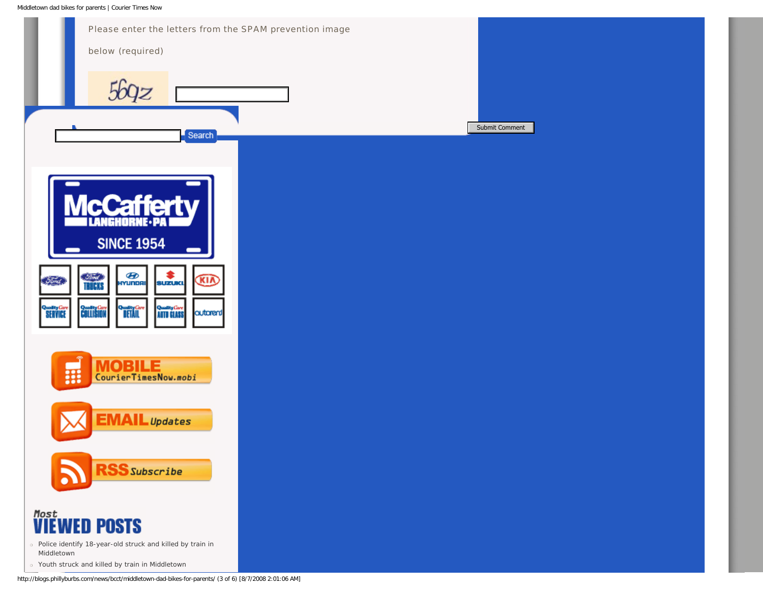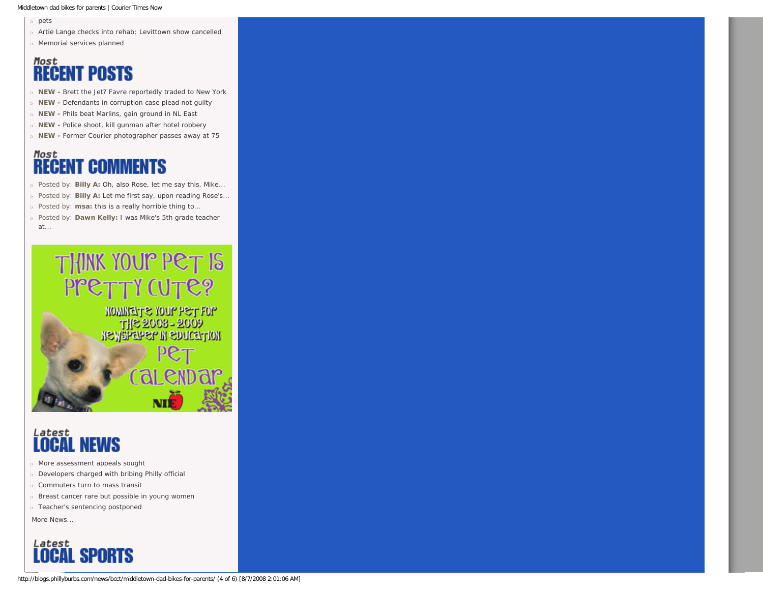Middletown dad bikes for parents | Courier Times Now

❍ [pets](http://blogs.phillyburbs.com/news/bcct/)

- ❍ [Artie Lange checks into rehab; Levittown show cancelled](http://blogs.phillyburbs.com/news/bcct/?p=3622)
- ❍ [Memorial services planned](http://blogs.phillyburbs.com/news/bcct/memorial-services-planned/)

# **Most**<br>**RECENT POSTS**

- ❍ **NEW** [Brett the Jet? Favre reportedly traded to New York](http://blogs.phillyburbs.com/news/bcct/brett-the-jet-favre-reportedly-traded-to-new-york/)
- ❍ **NEW** [Defendants in corruption case plead not guilty](http://blogs.phillyburbs.com/news/bcct/defendants-in-corruption-case-plead-not-guilty/)
- ❍ **NEW** [Phils beat Marlins, gain ground in NL East](http://blogs.phillyburbs.com/news/bcct/phils-beat-marlins-gain-ground-in-nl-east/)
- ❍ **NEW** [Police shoot, kill gunman after hotel robbery](http://blogs.phillyburbs.com/news/bcct/police-shoot-kill-gunman-after-hotel-robbery/)
- ❍ **NEW** [Former Courier photographer passes away at 75](http://blogs.phillyburbs.com/news/bcct/former-courier-photographer-passes-away-at-75/)

### **RECENT COMMENTS**

- ❍ Posted by: **Billy A:** [Oh, also Rose, let me say this. Mike.](http://blogs.phillyburbs.com/news/bcct/police-identify-18-year-old-struck-and-killed-by-train-in-middletown/#comment-2145)..
- ❍ Posted by: **Billy A:** [Let me first say, upon reading Rose's](http://blogs.phillyburbs.com/news/bcct/police-identify-18-year-old-struck-and-killed-by-train-in-middletown/#comment-2143)...
- ❍ Posted by: **msa:** [this is a really horrible thing to.](http://blogs.phillyburbs.com/news/bcct/police-identify-18-year-old-struck-and-killed-by-train-in-middletown/#comment-2139)..
- ❍ Posted by: **Dawn Kelly:** [I was Mike's 5th grade teacher](http://blogs.phillyburbs.com/news/bcct/police-identify-18-year-old-struck-and-killed-by-train-in-middletown/#comment-2137) [at](http://blogs.phillyburbs.com/news/bcct/police-identify-18-year-old-struck-and-killed-by-train-in-middletown/#comment-2137)...



MOMMENT & YOUP PET FOP **ICALLES TO A SOCIETY OF STATE SOCIETY AND THE SOCIETY OF THE SOCIETY OF THE SOCIETY OF THE STATE STATE** 

Calen

# Latest<br>**LOCAL NEWS**

- ❍ [More assessment appeals sought](http://www.phillyburbs.com/pb-dyn/news/111-08062008-1573274.html)
- ❍ [Developers charged with bribing Philly official](http://www.phillyburbs.com/pb-dyn/news/111-08062008-1573269.html)
- ❍ [Commuters turn to mass transit](http://www.phillyburbs.com/pb-dyn/news/111-08062008-1573276.html)
- ❍ [Breast cancer rare but possible in young women](http://www.phillyburbs.com/pb-dyn/news/111-08062008-1573264.html)
- ❍ [Teacher's sentencing postponed](http://www.phillyburbs.com/pb-dyn/news/111-08062008-1573312.html)

*[More News...](http://www.phillyburbs.com/pb-dyn/section.cfm?id=111&tmpl=local_news)*

### **Latest**<br>**LOCAL SPORTS**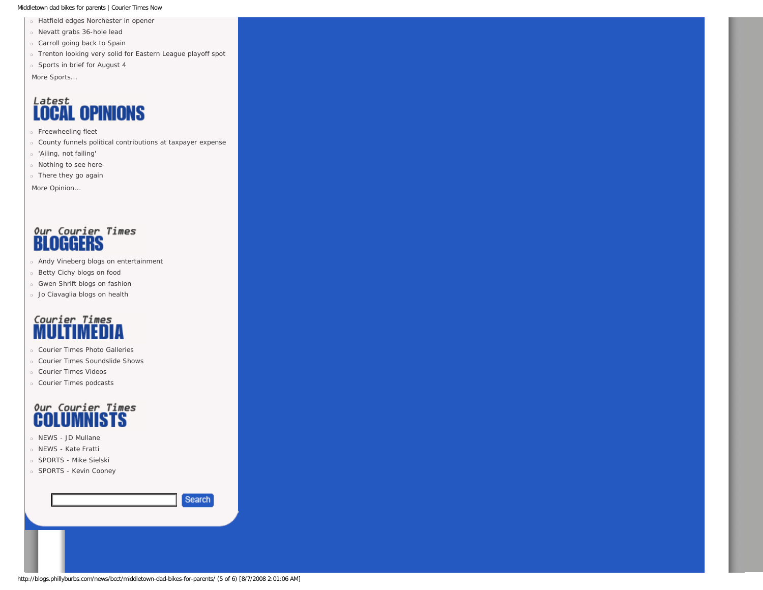#### Middletown dad bikes for parents | Courier Times Now

- ❍ [Hatfield edges Norchester in opener](http://www.phillyburbs.com/pb-dyn/news/108-08062008-1573197.html)
- ❍ [Nevatt grabs 36-hole lead](http://www.phillyburbs.com/pb-dyn/news/108-08062008-1573198.html)
- ❍ [Carroll going back to Spain](http://www.phillyburbs.com/pb-dyn/news/108-08062008-1573199.html)
- ❍ [Trenton looking very solid for Eastern League playoff spot](http://www.phillyburbs.com/pb-dyn/news/108-08052008-1572824.html)
- ❍ [Sports in brief for August 4](http://www.phillyburbs.com/pb-dyn/news/108-08042008-1572290.html)

*[More Sports...](http://www.phillyburbs.com/pb-dyn/section.cfm?id=108&tmpl=local_sports)*

### **Latest OPINIONS**

- ❍ [Freewheeling fleet](http://www.phillyburbs.com/pb-dyn/news/321-08062008-1573306.html)
- ❍ [County funnels political contributions at taxpayer expense](http://www.phillyburbs.com/pb-dyn/news/321-08062008-1573309.html)
- ❍ ['Ailing, not failing'](http://www.phillyburbs.com/pb-dyn/news/321-08052008-1572680.html)
- ❍ [Nothing to see here-](http://www.phillyburbs.com/pb-dyn/news/321-08052008-1572711.html)
- ❍ [There they go again](http://www.phillyburbs.com/pb-dyn/news/321-08032008-1571897.html)

*[More Opinion...](http://www.phillyburbs.com/pb-dyn/section.cfm?id=327&tmpl=opinion_bcct)*

### our Courier Times<br>**BLOGGERS**

- ❍ [Andy Vineberg blogs on entertainment](http://blogs.phillyburbs.com/andy-vineberg)
- ❍ [Betty Cichy blogs on food](http://blogs.phillyburbs.com/betty-cichy)
- ❍ [Gwen Shrift blogs on fashion](http://blogs.phillyburbs.com/bucks-style)
- ❍ [Jo Ciavaglia blogs on health](http://blogs.phillyburbs.com/jo-ciavaglia)

## Courier Times

- ❍ [Courier Times Photo Galleries](http://media.phillyburbs.com/bcct/interactive/photogallery/)
- ❍ [Courier Times Soundslide Shows](http://media.phillyburbs.com/bcct/interactive/bcct_soundslides/)
- ❍ [Courier Times Videos](http://video.ap.org/v/Default.aspx?f=palev1&partner=en-ap)
- ❍ [Courier Times podcasts](http://www.phillyburbs.com/podcasts/)

### Our Courier Times **COLUMNISTS**

- ❍ [NEWS JD Mullane](http://www.phillyburbs.com/pb-dyn/section.cfm?id=219&tmpl=columnists)
- ❍ [NEWS Kate Fratti](http://www.phillyburbs.com/pb-dyn/section.cfm?id=257&tmpl=columnists)
- ❍ [SPORTS Mike Sielski](http://www.phillyburbs.com/pb-dyn/section.cfm?id=256&tmpl=sportscol)
- ❍ [SPORTS Kevin Cooney](http://www.phillyburbs.com/pb-dyn/section.cfm?id=243&tmpl=sportscol)

Search